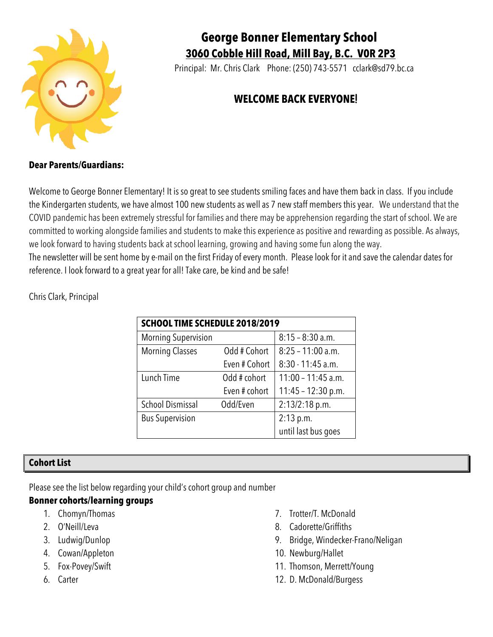

# **George Bonner Elementary School 3060 Cobble Hill Road, Mill Bay, B.C. V0R 2P3**

Principal: Mr. Chris Clark Phone: (250) 743-5571 cclark@sd79.bc.ca

# **WELCOME BACK EVERYONE**!

# **Dear Parents/Guardians:**

Welcome to George Bonner Elementary! It is so great to see students smiling faces and have them back in class. If you include the Kindergarten students, we have almost 100 new students as well as 7 new staff members this year. We understand that the COVID pandemic has been extremely stressful for families and there may be apprehension regarding the start of school. We are committed to working alongside families and students to make this experience as positive and rewarding as possible. As always, we look forward to having students back at school learning, growing and having some fun along the way. The newsletter will be sent home by e-mail on the first Friday of every month. Please look for it and save the calendar dates for reference. I look forward to a great year for all! Take care, be kind and be safe!

Chris Clark, Principal

| SCHOOL TIME SCHEDULE 2018/2019 |               |                      |  |  |  |  |
|--------------------------------|---------------|----------------------|--|--|--|--|
| <b>Morning Supervision</b>     |               | $8:15 - 8:30$ a.m.   |  |  |  |  |
| <b>Morning Classes</b>         | Odd # Cohort  | $8:25 - 11:00$ a.m.  |  |  |  |  |
|                                | Even # Cohort | 8:30 - 11:45 a.m.    |  |  |  |  |
| Lunch Time                     | Odd # cohort  | $11:00 - 11:45$ a.m. |  |  |  |  |
|                                | Even # cohort | $11:45 - 12:30 p.m.$ |  |  |  |  |
| <b>School Dismissal</b>        | Odd/Even      | 2:13/2:18 p.m.       |  |  |  |  |
| <b>Bus Supervision</b>         |               | 2:13 p.m.            |  |  |  |  |
|                                |               | until last bus goes  |  |  |  |  |

# **Cohort List**

Please see the list below regarding your child's cohort group and number

# **Bonner cohorts/learning groups**

- 1. Chomyn/Thomas
- 2. O'Neill/Leva
- 3. Ludwig/Dunlop
- 4. Cowan/Appleton
- 5. Fox-Povey/Swift
- 6. Carter
- 7. Trotter/T. McDonald
- 8. Cadorette/Griffiths
- 9. Bridge, Windecker-Frano/Neligan
- 10. Newburg/Hallet
- 11. Thomson, Merrett/Young
- 12. D. McDonald/Burgess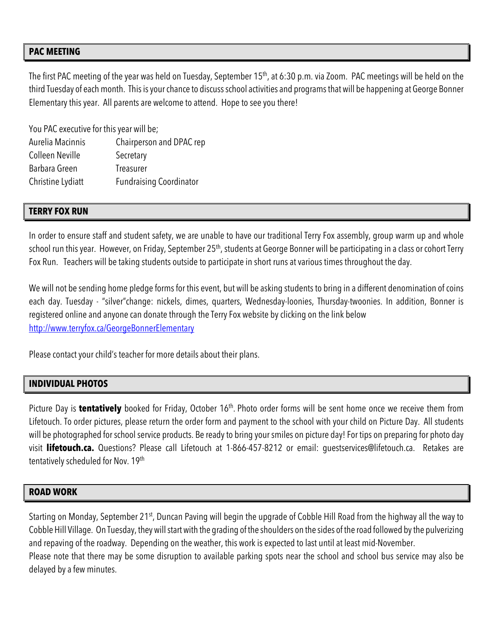### **PAC MEETING**

The first PAC meeting of the year was held on Tuesday, September 15<sup>th</sup>, at 6:30 p.m. via Zoom. PAC meetings will be held on the third Tuesday of each month. This is your chance to discuss school activities and programs that will be happening at George Bonner Elementary this year. All parents are welcome to attend. Hope to see you there!

You PAC executive for this year will be; Aurelia Macinnis Chairperson and DPAC rep Colleen Neville Secretary Barbara Green Treasurer Christine Lydiatt Fundraising Coordinator

#### **TERRY FOX RUN**

In order to ensure staff and student safety, we are unable to have our traditional Terry Fox assembly, group warm up and whole school run this year. However, on Friday, September 25<sup>th</sup>, students at George Bonner will be participating in a class or cohort Terry Fox Run. Teachers will be taking students outside to participate in short runs at various times throughout the day.

We will not be sending home pledge forms for this event, but will be asking students to bring in a different denomination of coins each day. Tuesday - "silver"change: nickels, dimes, quarters, Wednesday-loonies, Thursday-twoonies. In addition, Bonner is registered online and anyone can donate through the Terry Fox website by clicking on the link below http://www.terryfox.ca/GeorgeBonnerElementary

Please contact your child's teacher for more details about their plans.

#### **INDIVIDUAL PHOTOS**

Picture Day is **tentatively** booked for Friday, October 16<sup>th</sup>. Photo order forms will be sent home once we receive them from Lifetouch. To order pictures, please return the order form and payment to the school with your child on Picture Day. All students will be photographed for school service products. Be ready to bring your smiles on picture day! For tips on preparing for photo day visit **lifetouch.ca.** Questions? Please call Lifetouch at 1-866-457-8212 or email: guestservices@lifetouch.ca. Retakes are tentatively scheduled for Nov. 19th

#### **ROAD WORK**

Starting on Monday, September 21<sup>st</sup>, Duncan Paving will begin the upgrade of Cobble Hill Road from the highway all the way to Cobble Hill Village. On Tuesday, they will start with the grading of the shoulders on the sides of the road followed by the pulverizing and repaving of the roadway. Depending on the weather, this work is expected to last until at least mid-November. Please note that there may be some disruption to available parking spots near the school and school bus service may also be delayed by a few minutes.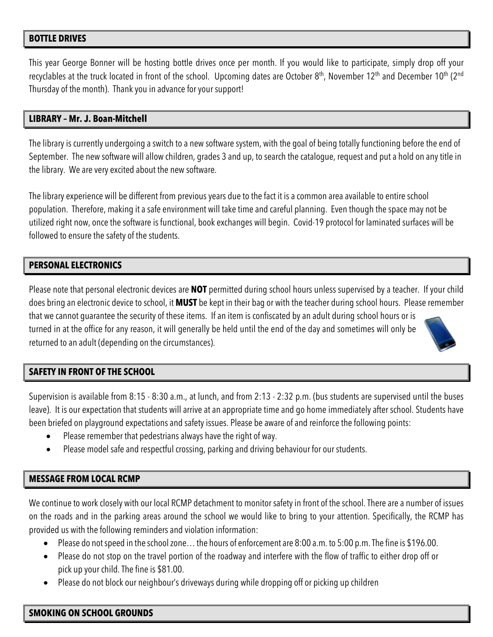### **BOTTLE DRIVES**

This year George Bonner will be hosting bottle drives once per month. If you would like to participate, simply drop off your recyclables at the truck located in front of the school. Upcoming dates are October 8<sup>th</sup>, November 12<sup>th</sup> and December 10<sup>th</sup> (2<sup>nd</sup> Thursday of the month). Thank you in advance for your support!

### **LIBRARY – Mr. J. Boan-Mitchell**

The library is currently undergoing a switch to a new software system, with the goal of being totally functioning before the end of September. The new software will allow children, grades 3 and up, to search the catalogue, request and put a hold on any title in the library. We are very excited about the new software.

The library experience will be different from previous years due to the fact it is a common area available to entire school population. Therefore, making it a safe environment will take time and careful planning. Even though the space may not be utilized right now, once the software is functional, book exchanges will begin. Covid-19 protocol for laminated surfaces will be followed to ensure the safety of the students.

# **PERSONAL ELECTRONICS**

Please note that personal electronic devices are **NOT** permitted during school hours unless supervised by a teacher. If your child does bring an electronic device to school, it **MUST** be kept in their bag or with the teacher during school hours. Please remember that we cannot guarantee the security of these items. If an item is confiscated by an adult during school hours or is turned in at the office for any reason, it will generally be held until the end of the day and sometimes will only be returned to an adult (depending on the circumstances).

# **SAFETY IN FRONT OF THE SCHOOL**

Supervision is available from 8:15 - 8:30 a.m., at lunch, and from 2:13 - 2:32 p.m. (bus students are supervised until the buses leave). It is our expectation that students will arrive at an appropriate time and go home immediately after school. Students have been briefed on playground expectations and safety issues. Please be aware of and reinforce the following points:

- Please remember that pedestrians always have the right of way.
- Please model safe and respectful crossing, parking and driving behaviour for our students.

# **MESSAGE FROM LOCAL RCMP**

We continue to work closely with our local RCMP detachment to monitor safety in front of the school. There are a number of issues on the roads and in the parking areas around the school we would like to bring to your attention. Specifically, the RCMP has provided us with the following reminders and violation information:

- Please do not speed in the school zone… the hours of enforcement are 8:00 a.m. to 5:00 p.m.The fine is \$196.00.
- Please do not stop on the travel portion of the roadway and interfere with the flow of traffic to either drop off or pick up your child. The fine is \$81.00.
- Please do not block our neighbour's driveways during while dropping off or picking up children

#### **SMOKING ON SCHOOL GROUNDS**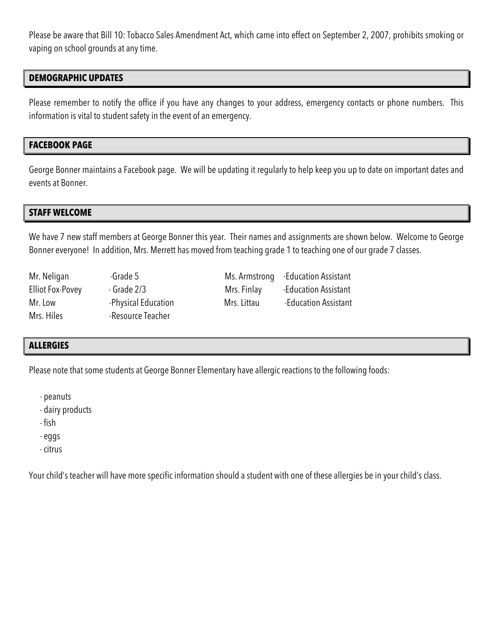Please be aware that Bill 10: Tobacco Sales Amendment Act, which came into effect on September 2, 2007, prohibits smoking or vaping on school grounds at any time.

## **DEMOGRAPHIC UPDATES**

Please remember to notify the office if you have any changes to your address, emergency contacts or phone numbers. This information is vital to student safety in the event of an emergency.

#### **FACEBOOK PAGE**

George Bonner maintains a Facebook page. We will be updating it regularly to help keep you up to date on important dates and events at Bonner.

#### **STAFF WELCOME**

We have 7 new staff members at George Bonner this year. Their names and assignments are shown below. Welcome to George Bonner everyone! In addition, Mrs. Merrett has moved from teaching grade 1 to teaching one of our grade 7 classes.

| Mr. Neligan             | -Grade 5            |             | Ms. Armstrong - Education Assistant |
|-------------------------|---------------------|-------------|-------------------------------------|
| <b>Elliot Fox-Povey</b> | $-$ Grade 2/3       | Mrs. Finlay | -Education Assistant                |
| Mr. Low                 | -Physical Education | Mrs. Littau | -Education Assistant                |
| Mrs. Hiles              | -Resource Teacher   |             |                                     |

# **ALLERGIES**

Please note that some students at George Bonner Elementary have allergic reactions to the following foods:

- peanuts

- dairy products

- fish

- eggs

- citrus

Your child's teacher will have more specific information should a student with one of these allergies be in your child's class.